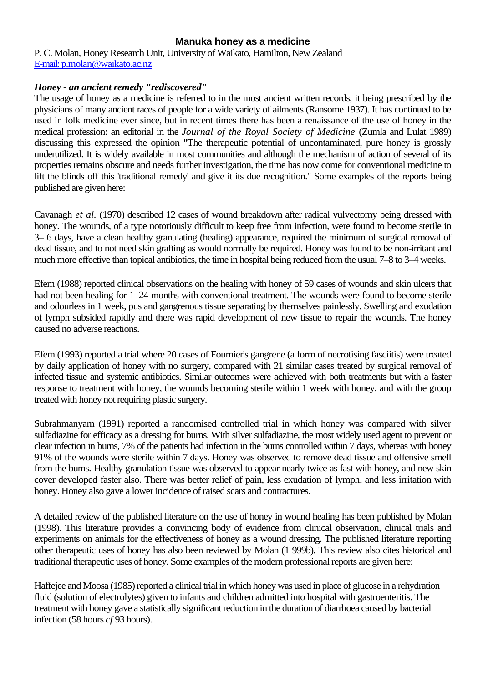#### **Manuka honey as a medicine**

P. C. Molan, Honey Research Unit, University of Waikato, Hamilton, New Zealand E-mail: p.molan@waikato.ac.nz

#### *Honey - an ancient remedy "rediscovered"*

The usage of honey as a medicine is referred to in the most ancient written records, it being prescribed by the physicians of many ancient races of people for a wide variety of ailments (Ransome 1937). It has continued to be used in folk medicine ever since, but in recent times there has been a renaissance of the use of honey in the medical profession: an editorial in the *Journal of the Royal Society of Medicine* (Zumla and Lulat 1989) discussing this expressed the opinion "The therapeutic potential of uncontaminated, pure honey is grossly underutilized. It is widely available in most communities and although the mechanism of action of several of its properties remains obscure and needs further investigation, the time has now come for conventional medicine to lift the blinds off this 'traditional remedy' and give it its due recognition." Some examples of the reports being published are given here:

Cavanagh *et al.* (1970) described 12 cases of wound breakdown after radical vulvectomy being dressed with honey. The wounds, of a type notoriously difficult to keep free from infection, were found to become sterile in 3– 6 days, have a clean healthy granulating (healing) appearance, required the minimum of surgical removal of dead tissue, and to not need skin grafting as would normally be required. Honey was found to be non-irritant and much more effective than topical antibiotics, the time in hospital being reduced from the usual 7–8 to 3–4 weeks.

Efem (1988) reported clinical observations on the healing with honey of 59 cases of wounds and skin ulcers that had not been healing for 1–24 months with conventional treatment. The wounds were found to become sterile and odourless in 1 week, pus and gangrenous tissue separating by themselves painlessly. Swelling and exudation of lymph subsided rapidly and there was rapid development of new tissue to repair the wounds. The honey caused no adverse reactions.

Efem (1993) reported a trial where 20 cases of Fournier's gangrene (a form of necrotising fasciitis) were treated by daily application of honey with no surgery, compared with 21 similar cases treated by surgical removal of infected tissue and systemic antibiotics. Similar outcomes were achieved with both treatments but with a faster response to treatment with honey, the wounds becoming sterile within 1 week with honey, and with the group treated with honey not requiring plastic surgery.

Subrahmanyam (1991) reported a randomised controlled trial in which honey was compared with silver sulfadiazine for efficacy as a dressing for burns. With silver sulfadiazine, the most widely used agent to prevent or clear infection in burns, 7% of the patients had infection in the burns controlled within 7 days, whereas with honey 91% of the wounds were sterile within 7 days. Honey was observed to remove dead tissue and offensive smell from the burns. Healthy granulation tissue was observed to appear nearly twice as fast with honey, and new skin cover developed faster also. There was better relief of pain, less exudation of lymph, and less irritation with honey. Honey also gave a lower incidence of raised scars and contractures.

A detailed review of the published literature on the use of honey in wound healing has been published by Molan (1998). This literature provides a convincing body of evidence from clinical observation, clinical trials and experiments on animals for the effectiveness of honey as a wound dressing. The published literature reporting other therapeutic uses of honey has also been reviewed by Molan (1 999b). This review also cites historical and traditional therapeutic uses of honey. Some examples of the modern professional reports are given here:

Haffejee and Moosa (1985) reported a clinical trial in which honey was used in place of glucose in a rehydration fluid (solution of electrolytes) given to infants and children admitted into hospital with gastroenteritis. The treatment with honey gave a statistically significant reduction in the duration of diarrhoea caused by bacterial infection (58 hours *cf* 93 hours).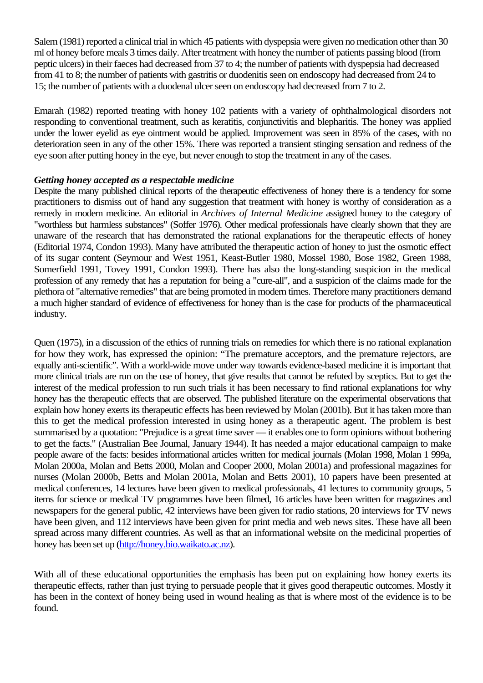Salem (1981) reported a clinical trial in which 45 patients with dyspepsia were given no medication other than 30 ml of honey before meals 3 times daily. After treatment with honey the number of patients passing blood (from peptic ulcers) in their faeces had decreased from 37 to 4; the number of patients with dyspepsia had decreased from 41 to 8; the number of patients with gastritis or duodenitis seen on endoscopy had decreased from 24 to 15; the number of patients with a duodenal ulcer seen on endoscopy had decreased from 7 to 2.

Emarah (1982) reported treating with honey 102 patients with a variety of ophthalmological disorders not responding to conventional treatment, such as keratitis, conjunctivitis and blepharitis. The honey was applied under the lower eyelid as eye ointment would be applied. Improvement was seen in 85% of the cases, with no deterioration seen in any of the other 15%. There was reported a transient stinging sensation and redness of the eye soon after putting honey in the eye, but never enough to stop the treatment in any of the cases.

## *Getting honey accepted as a respectable medicine*

Despite the many published clinical reports of the therapeutic effectiveness of honey there is a tendency for some practitioners to dismiss out of hand any suggestion that treatment with honey is worthy of consideration as a remedy in modern medicine. An editorial in *Archives of Internal Medicine* assigned honey to the category of "worthless but harmless substances" (Soffer 1976). Other medical professionals have clearly shown that they are unaware of the research that has demonstrated the rational explanations for the therapeutic effects of honey (Editorial 1974, Condon 1993). Many have attributed the therapeutic action of honey to just the osmotic effect of its sugar content (Seymour and West 1951, Keast-Butler 1980, Mossel 1980, Bose 1982, Green 1988, Somerfield 1991, Tovey 1991, Condon 1993). There has also the long-standing suspicion in the medical profession of any remedy that has a reputation for being a "cure-all", and a suspicion of the claims made for the plethora of "alternative remedies" that are being promoted in modern times. Therefore many practitioners demand a much higher standard of evidence of effectiveness for honey than is the case for products of the pharmaceutical industry.

Quen (1975), in a discussion of the ethics of running trials on remedies for which there is no rational explanation for how they work, has expressed the opinion: "The premature acceptors, and the premature rejectors, are equally anti-scientific". With a world-wide move under way towards evidence-based medicine it is important that more clinical trials are run on the use of honey, that give results that cannot be refuted by sceptics. But to get the interest of the medical profession to run such trials it has been necessary to find rational explanations for why honey has the therapeutic effects that are observed. The published literature on the experimental observations that explain how honey exerts its therapeutic effects has been reviewed by Molan (2001b). But it has taken more than this to get the medical profession interested in using honey as a therapeutic agent. The problem is best summarised by a quotation: "Prejudice is a great time saver — it enables one to form opinions without bothering to get the facts." (Australian Bee Journal, January 1944). It has needed a major educational campaign to make people aware of the facts: besides informational articles written for medical journals (Molan 1998, Molan 1 999a, Molan 2000a, Molan and Betts 2000, Molan and Cooper 2000, Molan 2001a) and professional magazines for nurses (Molan 2000b, Betts and Molan 2001a, Molan and Betts 2001), 10 papers have been presented at medical conferences, 14 lectures have been given to medical professionals, 41 lectures to community groups, 5 items for science or medical TV programmes have been filmed, 16 articles have been written for magazines and newspapers for the general public, 42 interviews have been given for radio stations, 20 interviews for TV news have been given, and 112 interviews have been given for print media and web news sites. These have all been spread across many different countries. As well as that an informational website on the medicinal properties of honey has been set up (http://honey.bio.waikato.ac.nz).

With all of these educational opportunities the emphasis has been put on explaining how honey exerts its therapeutic effects, rather than just trying to persuade people that it gives good therapeutic outcomes. Mostly it has been in the context of honey being used in wound healing as that is where most of the evidence is to be found.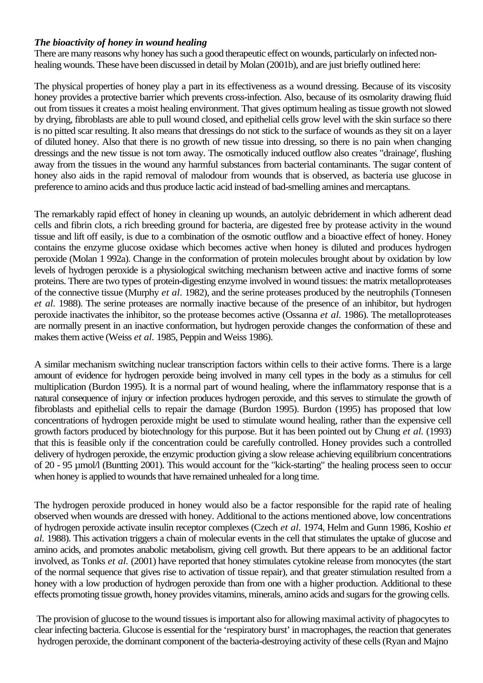#### *The bioactivity of honey in wound healing*

There are many reasons why honey has such a good therapeutic effect on wounds, particularly on infected nonhealing wounds. These have been discussed in detail by Molan (2001b), and are just briefly outlined here:

The physical properties of honey play a part in its effectiveness as a wound dressing. Because of its viscosity honey provides a protective barrier which prevents cross-infection. Also, because of its osmolarity drawing fluid out from tissues it creates a moist healing environment. That gives optimum healing as tissue growth not slowed by drying, fibroblasts are able to pull wound closed, and epithelial cells grow level with the skin surface so there is no pitted scar resulting. It also means that dressings do not stick to the surface of wounds as they sit on a layer of diluted honey. Also that there is no growth of new tissue into dressing, so there is no pain when changing dressings and the new tissue is not torn away. The osmotically induced outflow also creates "drainage', flushing away from the tissues in the wound any harmful substances from bacterial contaminants. The sugar content of honey also aids in the rapid removal of malodour from wounds that is observed, as bacteria use glucose in preference to amino acids and thus produce lactic acid instead of bad-smelling amines and mercaptans.

The remarkably rapid effect of honey in cleaning up wounds, an autolyic debridement in which adherent dead cells and fibrin clots, a rich breeding ground for bacteria, are digested free by protease activity in the wound tissue and lift off easily, is due to a combination of the osmotic outflow and a bioactive effect of honey. Honey contains the enzyme glucose oxidase which becomes active when honey is diluted and produces hydrogen peroxide (Molan 1 992a). Change in the conformation of protein molecules brought about by oxidation by low levels of hydrogen peroxide is a physiological switching mechanism between active and inactive forms of some proteins. There are two types of protein-digesting enzyme involved in wound tissues: the matrix metalloproteases of the connective tissue (Murphy *et al.* 1982), and the serine proteases produced by the neutrophils (Tonnesen *et al.* 1988). The serine proteases are normally inactive because of the presence of an inhibitor, but hydrogen peroxide inactivates the inhibitor, so the protease becomes active (Ossanna *et al.* 1986). The metalloproteases are normally present in an inactive conformation, but hydrogen peroxide changes the conformation of these and makes them active (Weiss *et al.* 1985, Peppin and Weiss 1986).

A similar mechanism switching nuclear transcription factors within cells to their active forms. There is a large amount of evidence for hydrogen peroxide being involved in many cell types in the body as a stimulus for cell multiplication (Burdon 1995). It is a normal part of wound healing, where the inflammatory response that is a natural consequence of injury or infection produces hydrogen peroxide, and this serves to stimulate the growth of fibroblasts and epithelial cells to repair the damage (Burdon 1995). Burdon (1995) has proposed that low concentrations of hydrogen peroxide might be used to stimulate wound healing, rather than the expensive cell growth factors produced by biotechnology for this purpose. But it has been pointed out by Chung *et al.* (1993) that this is feasible only if the concentration could be carefully controlled. Honey provides such a controlled delivery of hydrogen peroxide, the enzymic production giving a slow release achieving equilibrium concentrations of 20 - 95 µmol/l (Buntting 2001). This would account for the "kick-starting" the healing process seen to occur when honey is applied to wounds that have remained unhealed for a long time.

The hydrogen peroxide produced in honey would also be a factor responsible for the rapid rate of healing observed when wounds are dressed with honey. Additional to the actions mentioned above, low concentrations of hydrogen peroxide activate insulin receptor complexes (Czech *et al.* 1974, Helm and Gunn 1986, Koshio *et al.* 1988). This activation triggers a chain of molecular events in the cell that stimulates the uptake of glucose and amino acids, and promotes anabolic metabolism, giving cell growth. But there appears to be an additional factor involved, as Tonks *et al.* (2001) have reported that honey stimulates cytokine release from monocytes (the start of the normal sequence that gives rise to activation of tissue repair), and that greater stimulation resulted from a honey with a low production of hydrogen peroxide than from one with a higher production. Additional to these effects promoting tissue growth, honey provides vitamins, minerals, amino acids and sugars for the growing cells.

The provision of glucose to the wound tissues is important also for allowing maximal activity of phagocytes to clear infecting bacteria. Glucose is essential for the 'respiratory burst' in macrophages, the reaction that generates hydrogen peroxide, the dominant component of the bacteria-destroying activity of these cells (Ryan and Majno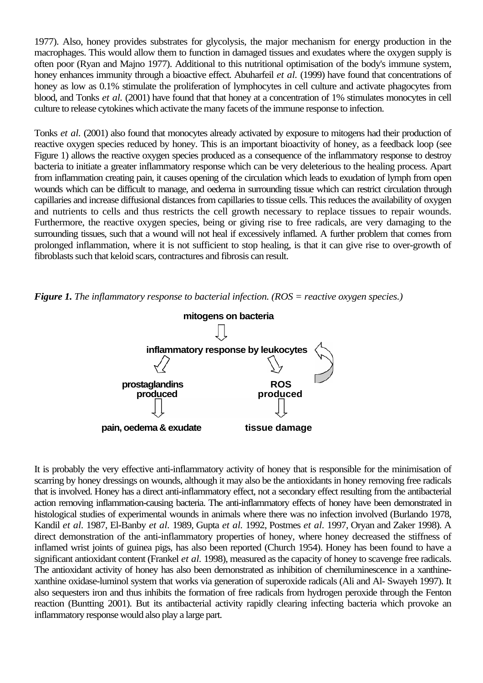1977). Also, honey provides substrates for glycolysis, the major mechanism for energy production in the macrophages. This would allow them to function in damaged tissues and exudates where the oxygen supply is often poor (Ryan and Majno 1977). Additional to this nutritional optimisation of the body's immune system, honey enhances immunity through a bioactive effect. Abuharfeil et al. (1999) have found that concentrations of honey as low as 0.1% stimulate the proliferation of lymphocytes in cell culture and activate phagocytes from blood, and Tonks *et al.* (2001) have found that that honey at a concentration of 1% stimulates monocytes in cell culture to release cytokines which activate the many facets of the immune response to infection.

Tonks *et al.* (2001) also found that monocytes already activated by exposure to mitogens had their production of reactive oxygen species reduced by honey. This is an important bioactivity of honey, as a feedback loop (see Figure 1) allows the reactive oxygen species produced as a consequence of the inflammatory response to destroy bacteria to initiate a greater inflammatory response which can be very deleterious to the healing process. Apart from inflammation creating pain, it causes opening of the circulation which leads to exudation of lymph from open wounds which can be difficult to manage, and oedema in surrounding tissue which can restrict circulation through capillaries and increase diffusional distances from capillaries to tissue cells. This reduces the availability of oxygen and nutrients to cells and thus restricts the cell growth necessary to replace tissues to repair wounds. Furthermore, the reactive oxygen species, being or giving rise to free radicals, are very damaging to the surrounding tissues, such that a wound will not heal if excessively inflamed. A further problem that comes from prolonged inflammation, where it is not sufficient to stop healing, is that it can give rise to over-growth of fibroblasts such that keloid scars, contractures and fibrosis can result.

*Figure 1. The inflammatory response to bacterial infection. (ROS = reactive oxygen species.)* 



It is probably the very effective anti-inflammatory activity of honey that is responsible for the minimisation of scarring by honey dressings on wounds, although it may also be the antioxidants in honey removing free radicals that is involved. Honey has a direct anti-inflammatory effect, not a secondary effect resulting from the antibacterial action removing inflammation-causing bacteria. The anti-inflammatory effects of honey have been demonstrated in histological studies of experimental wounds in animals where there was no infection involved (Burlando 1978, Kandil *et al.* 1987, El-Banby *et al.* 1989, Gupta *et al.* 1992, Postmes *et al.* 1997, Oryan and Zaker 1998). A direct demonstration of the anti-inflammatory properties of honey, where honey decreased the stiffness of inflamed wrist joints of guinea pigs, has also been reported (Church 1954). Honey has been found to have a significant antioxidant content (Frankel *et al.* 1998), measured as the capacity of honey to scavenge free radicals. The antioxidant activity of honey has also been demonstrated as inhibition of chemiluminescence in a xanthinexanthine oxidase-luminol system that works via generation of superoxide radicals (Ali and Al- Swayeh 1997). It also sequesters iron and thus inhibits the formation of free radicals from hydrogen peroxide through the Fenton reaction (Buntting 2001). But its antibacterial activity rapidly clearing infecting bacteria which provoke an inflammatory response would also play a large part.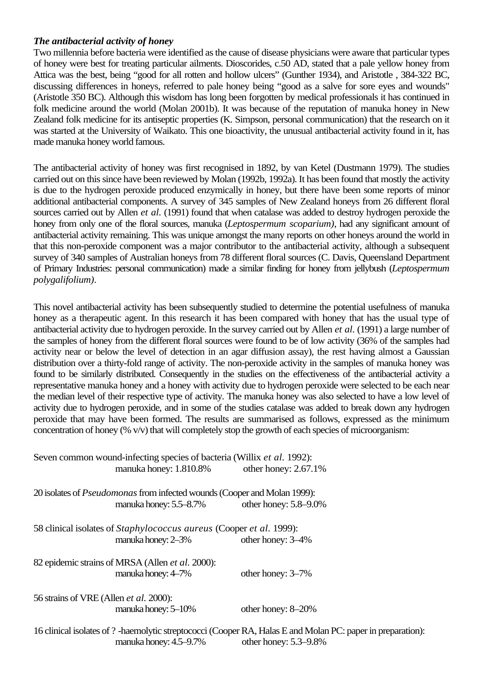## *The antibacterial activity of honey*

Two millennia before bacteria were identified as the cause of disease physicians were aware that particular types of honey were best for treating particular ailments. Dioscorides, c.50 AD, stated that a pale yellow honey from Attica was the best, being "good for all rotten and hollow ulcers" (Gunther 1934), and Aristotle , 384-322 BC, discussing differences in honeys, referred to pale honey being "good as a salve for sore eyes and wounds" (Aristotle 350 BC). Although this wisdom has long been forgotten by medical professionals it has continued in folk medicine around the world (Molan 2001b). It was because of the reputation of manuka honey in New Zealand folk medicine for its antiseptic properties (K. Simpson, personal communication) that the research on it was started at the University of Waikato. This one bioactivity, the unusual antibacterial activity found in it, has made manuka honey world famous.

The antibacterial activity of honey was first recognised in 1892, by van Ketel (Dustmann 1979). The studies carried out on this since have been reviewed by Molan (1992b, 1992a). It has been found that mostly the activity is due to the hydrogen peroxide produced enzymically in honey, but there have been some reports of minor additional antibacterial components. A survey of 345 samples of New Zealand honeys from 26 different floral sources carried out by Allen *et al.* (1991) found that when catalase was added to destroy hydrogen peroxide the honey from only one of the floral sources, manuka (*Leptospermum scoparium)*, had any significant amount of antibacterial activity remaining. This was unique amongst the many reports on other honeys around the world in that this non-peroxide component was a major contributor to the antibacterial activity, although a subsequent survey of 340 samples of Australian honeys from 78 different floral sources (C. Davis, Queensland Department of Primary Industries: personal communication) made a similar finding for honey from jellybush (*Leptospermum polygalifolium)*.

This novel antibacterial activity has been subsequently studied to determine the potential usefulness of manuka honey as a therapeutic agent. In this research it has been compared with honey that has the usual type of antibacterial activity due to hydrogen peroxide. In the survey carried out by Allen *et al.* (1991) a large number of the samples of honey from the different floral sources were found to be of low activity (36% of the samples had activity near or below the level of detection in an agar diffusion assay), the rest having almost a Gaussian distribution over a thirty-fold range of activity. The non-peroxide activity in the samples of manuka honey was found to be similarly distributed. Consequently in the studies on the effectiveness of the antibacterial activity a representative manuka honey and a honey with activity due to hydrogen peroxide were selected to be each near the median level of their respective type of activity. The manuka honey was also selected to have a low level of activity due to hydrogen peroxide, and in some of the studies catalase was added to break down any hydrogen peroxide that may have been formed. The results are summarised as follows, expressed as the minimum concentration of honey (% v/v) that will completely stop the growth of each species of microorganism:

| Seven common wound-infecting species of bacteria (Willix <i>et al.</i> 1992):<br>manuka honey: 1.810.8% other honey: 2.67.1%          |                            |
|---------------------------------------------------------------------------------------------------------------------------------------|----------------------------|
| 20 isolates of <i>Pseudomonas</i> from infected wounds (Cooper and Molan 1999):<br>manuka honey: $5.5 - 8.7\%$                        | other honey: $5.8 - 9.0\%$ |
| 58 clinical isolates of <i>Staphylococcus aureus</i> (Cooper <i>et al.</i> 1999):<br>manuka honey: 2–3%                               | other honey: 3–4%          |
| 82 epidemic strains of MRSA (Allen et al. 2000):<br>manuka honey: 4–7%                                                                | other honey: $3-7\%$       |
| 56 strains of VRE (Allen <i>et al.</i> 2000):<br>manuka honey: $5-10\%$                                                               | other honey: 8-20%         |
| 16 clinical isolates of ? -haemolytic streptococci (Cooper RA, Halas E and Molan PC: paper in preparation):<br>manuka honey: 4.5–9.7% | other honey: $5.3-9.8\%$   |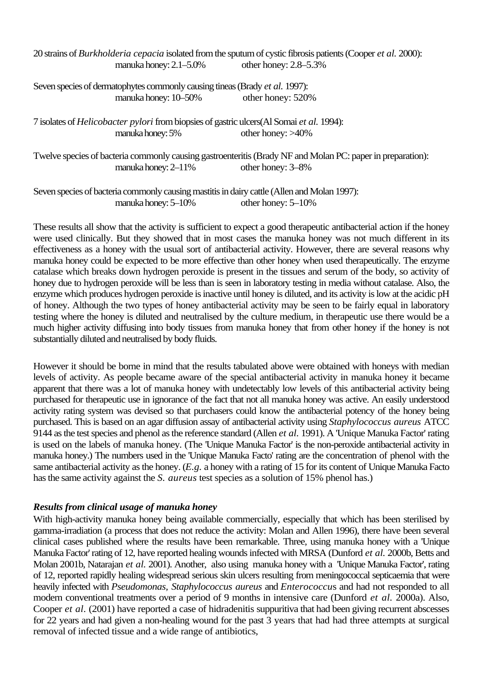| 20 strains of <i>Burkholderia cepacia</i> isolated from the sputum of cystic fibrosis patients (Cooper <i>et al.</i> 2000):                               |                            |
|-----------------------------------------------------------------------------------------------------------------------------------------------------------|----------------------------|
| manuka honey: $2.1 - 5.0\%$                                                                                                                               | other honey: $2.8 - 5.3\%$ |
| Seven species of dermatophytes commonly causing tineas (Brady <i>et al.</i> 1997):                                                                        |                            |
| manuka honey: 10–50%                                                                                                                                      | other honey: 520%          |
| 7 isolates of <i>Helicobacter pylori</i> from biopsies of gastric ulcers(Al Somai et al. 1994):                                                           |                            |
| manuka honey: 5%                                                                                                                                          | other honey: $>40\%$       |
| Twelve species of bacteria commonly causing gastroenteritis (Brady NF and Molan PC: paper in preparation):<br>other honey: 3–8%<br>manuka honey: $2-11\%$ |                            |
|                                                                                                                                                           |                            |

Seven species of bacteria commonly causing mastitis in dairy cattle (Allen and Molan 1997): manuka honey: 5–10% other honey: 5–10%

These results all show that the activity is sufficient to expect a good therapeutic antibacterial action if the honey were used clinically. But they showed that in most cases the manuka honey was not much different in its effectiveness as a honey with the usual sort of antibacterial activity. However, there are several reasons why manuka honey could be expected to be more effective than other honey when used therapeutically. The enzyme catalase which breaks down hydrogen peroxide is present in the tissues and serum of the body, so activity of honey due to hydrogen peroxide will be less than is seen in laboratory testing in media without catalase. Also, the enzyme which produces hydrogen peroxide is inactive until honey is diluted, and its activity is low at the acidic pH of honey. Although the two types of honey antibacterial activity may be seen to be fairly equal in laboratory testing where the honey is diluted and neutralised by the culture medium, in therapeutic use there would be a much higher activity diffusing into body tissues from manuka honey that from other honey if the honey is not substantially diluted and neutralised by body fluids.

However it should be borne in mind that the results tabulated above were obtained with honeys with median levels of activity. As people became aware of the special antibacterial activity in manuka honey it became apparent that there was a lot of manuka honey with undetectably low levels of this antibacterial activity being purchased for therapeutic use in ignorance of the fact that not all manuka honey was active. An easily understood activity rating system was devised so that purchasers could know the antibacterial potency of the honey being purchased. This is based on an agar diffusion assay of antibacterial activity using *Staphylococcus aureus* ATCC 9144 as the test species and phenol as the reference standard (Allen *et al.* 1991). A 'Unique Manuka Factor' rating is used on the labels of manuka honey. (The 'Unique Manuka Factor' is the non-peroxide antibacterial activity in manuka honey.) The numbers used in the 'Unique Manuka Facto' rating are the concentration of phenol with the same antibacterial activity as the honey. (*E.g.* a honey with a rating of 15 for its content of Unique Manuka Facto has the same activity against the *S. aureus* test species as a solution of 15% phenol has.)

## *Results from clinical usage of manuka honey*

With high-activity manuka honey being available commercially, especially that which has been sterilised by gamma-irradiation (a process that does not reduce the activity: Molan and Allen 1996), there have been several clinical cases published where the results have been remarkable. Three, using manuka honey with a 'Unique Manuka Factor' rating of 12, have reported healing wounds infected with MRSA (Dunford *et al.* 2000b, Betts and Molan 2001b, Natarajan *et al.* 2001). Another, also using manuka honey with a 'Unique Manuka Factor', rating of 12, reported rapidly healing widespread serious skin ulcers resulting from meningococcal septicaemia that were heavily infected with *Pseudomonas, Staphylococcus aureus* and *Enterococcu*s and had not responded to all modern conventional treatments over a period of 9 months in intensive care (Dunford *et al.* 2000a). Also, Cooper *et al.* (2001) have reported a case of hidradenitis suppuritiva that had been giving recurrent abscesses for 22 years and had given a non-healing wound for the past 3 years that had had three attempts at surgical removal of infected tissue and a wide range of antibiotics,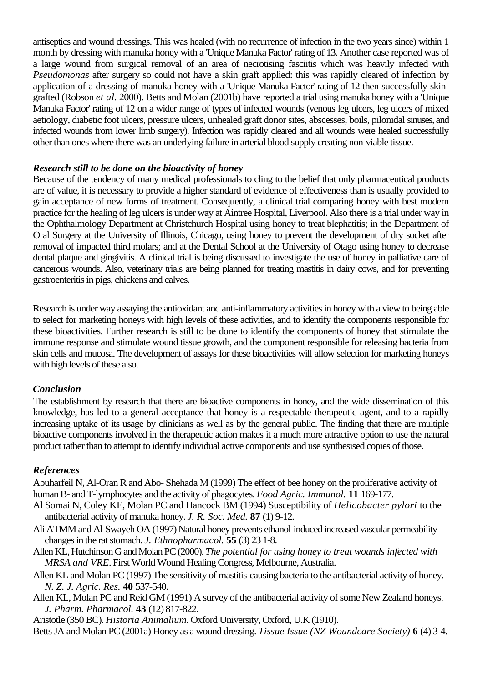antiseptics and wound dressings. This was healed (with no recurrence of infection in the two years since) within 1 month by dressing with manuka honey with a 'Unique Manuka Factor' rating of 13. Another case reported was of a large wound from surgical removal of an area of necrotising fasciitis which was heavily infected with *Pseudomonas* after surgery so could not have a skin graft applied: this was rapidly cleared of infection by application of a dressing of manuka honey with a 'Unique Manuka Factor' rating of 12 then successfully skingrafted (Robson *et al.* 2000). Betts and Molan (2001b) have reported a trial using manuka honey with a 'Unique Manuka Factor' rating of 12 on a wider range of types of infected wounds (venous leg ulcers, leg ulcers of mixed aetiology, diabetic foot ulcers, pressure ulcers, unhealed graft donor sites, abscesses, boils, pilonidal sinuses, and infected wounds from lower limb surgery). Infection was rapidly cleared and all wounds were healed successfully other than ones where there was an underlying failure in arterial blood supply creating non-viable tissue.

# *Research still to be done on the bioactivity of honey*

Because of the tendency of many medical professionals to cling to the belief that only pharmaceutical products are of value, it is necessary to provide a higher standard of evidence of effectiveness than is usually provided to gain acceptance of new forms of treatment. Consequently, a clinical trial comparing honey with best modern practice for the healing of leg ulcers is under way at Aintree Hospital, Liverpool. Also there is a trial under way in the Ophthalmology Department at Christchurch Hospital using honey to treat blephatitis; in the Department of Oral Surgery at the University of Illinois, Chicago, using honey to prevent the development of dry socket after removal of impacted third molars; and at the Dental School at the University of Otago using honey to decrease dental plaque and gingivitis. A clinical trial is being discussed to investigate the use of honey in palliative care of cancerous wounds. Also, veterinary trials are being planned for treating mastitis in dairy cows, and for preventing gastroenteritis in pigs, chickens and calves.

Research is under way assaying the antioxidant and anti-inflammatory activities in honey with a view to being able to select for marketing honeys with high levels of these activities, and to identify the components responsible for these bioactivities. Further research is still to be done to identify the components of honey that stimulate the immune response and stimulate wound tissue growth, and the component responsible for releasing bacteria from skin cells and mucosa. The development of assays for these bioactivities will allow selection for marketing honeys with high levels of these also.

## *Conclusion*

The establishment by research that there are bioactive components in honey, and the wide dissemination of this knowledge, has led to a general acceptance that honey is a respectable therapeutic agent, and to a rapidly increasing uptake of its usage by clinicians as well as by the general public. The finding that there are multiple bioactive components involved in the therapeutic action makes it a much more attractive option to use the natural product rather than to attempt to identify individual active components and use synthesised copies of those.

## *References*

Abuharfeil N, Al-Oran R and Abo- Shehada M (1999) The effect of bee honey on the proliferative activity of human B- and T-lymphocytes and the activity of phagocytes. *Food Agric. Immunol.* **11** 169-177.

- Al Somai N, Coley KE, Molan PC and Hancock BM (1994) Susceptibility of *Helicobacter pylori* to the antibacterial activity of manuka honey. *J. R. Soc. Med.* **87** (1) 9-12.
- Ali ATMM and Al-Swayeh OA (1997) Natural honey prevents ethanol-induced increased vascular permeability changes in the rat stomach. *J. Ethnopharmacol.* **55** (3) 23 1-8.
- Allen KL, Hutchinson G and Molan PC (2000). *The potential for using honey to treat wounds infected with MRSA and VRE*. First World Wound Healing Congress, Melbourne, Australia.
- Allen KL and Molan PC (1997) The sensitivity of mastitis-causing bacteria to the antibacterial activity of honey. *N. Z. J. Agric. Res.* **40** 537-540.
- Allen KL, Molan PC and Reid GM (1991) A survey of the antibacterial activity of some New Zealand honeys. *J. Pharm. Pharmacol.* **43** (12) 817-822.

Aristotle (350 BC). *Historia Animalium*. Oxford University, Oxford, U.K (1910).

Betts JA and Molan PC (2001a) Honey as a wound dressing. *Tissue Issue (NZ Woundcare Society)* **6** (4) 3-4.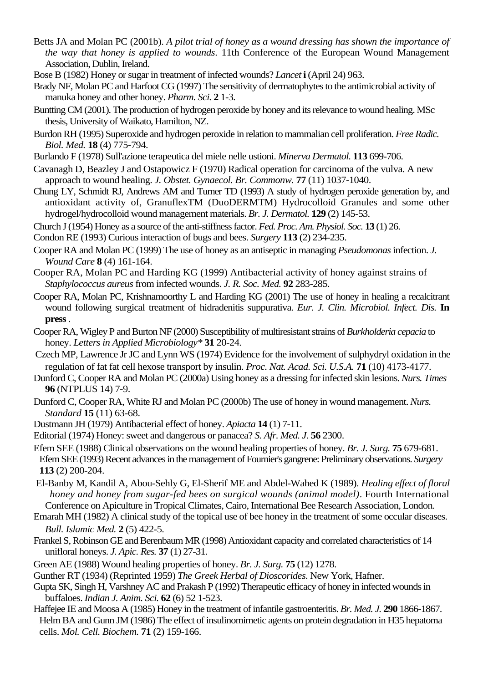- Betts JA and Molan PC (2001b). *A pilot trial of honey as a wound dressing has shown the importance of the way that honey is applied to wounds*. 11th Conference of the European Wound Management Association, Dublin, Ireland.
- Bose B (1982) Honey or sugar in treatment of infected wounds? *Lancet* **i** (April 24) 963.
- Brady NF, Molan PC and Harfoot CG (1997) The sensitivity of dermatophytes to the antimicrobial activity of manuka honey and other honey. *Pharm. Sci.* **2** 1-3.
- Buntting CM (2001). The production of hydrogen peroxide by honey and its relevance to wound healing. MSc thesis, University of Waikato, Hamilton, NZ.
- Burdon RH (1995) Superoxide and hydrogen peroxide in relation to mammalian cell proliferation. *Free Radic. Biol. Med.* **18** (4) 775-794.
- Burlando F (1978) Sull'azione terapeutica del miele nelle ustioni. *Minerva Dermatol.* **113** 699-706.
- Cavanagh D, Beazley J and Ostapowicz F (1970) Radical operation for carcinoma of the vulva. A new approach to wound healing. *J. Obstet. Gynaecol. Br. Commonw.* **77** (11) 1037-1040.
- Chung LY, Schmidt RJ, Andrews AM and Turner TD (1993) A study of hydrogen peroxide generation by, and antioxidant activity of, GranuflexTM (DuoDERMTM) Hydrocolloid Granules and some other hydrogel/hydrocolloid wound management materials. *Br. J. Dermatol.* **129** (2) 145-53.
- Church J (1954) Honey as a source of the anti-stiffness factor. *Fed. Proc. Am. Physiol. Soc.* **13** (1) 26.
- Condon RE (1993) Curious interaction of bugs and bees. *Surgery* **113** (2) 234-235.
- Cooper RA and Molan PC (1999) The use of honey as an antiseptic in managing *Pseudomonas* infection. *J. Wound Care* **8** (4) 161-164.
- Cooper RA, Molan PC and Harding KG (1999) Antibacterial activity of honey against strains of *Staphylococcus aureus* from infected wounds. *J. R. Soc. Med.* **92** 283-285.
- Cooper RA, Molan PC, Krishnamoorthy L and Harding KG (2001) The use of honey in healing a recalcitrant wound following surgical treatment of hidradenitis suppurativa. *Eur. J. Clin. Microbiol. Infect. Dis.* **In press** .
- Cooper RA, Wigley P and Burton NF (2000) Susceptibility of multiresistant strains of *Burkholderia cepacia* to honey. *Letters in Applied Microbiology\** **31** 20-24.
- Czech MP, Lawrence Jr JC and Lynn WS (1974) Evidence for the involvement of sulphydryl oxidation in the regulation of fat fat cell hexose transport by insulin. *Proc. Nat. Acad. Sci. U.S.A.* **71** (10) 4173-4177.
- Dunford C, Cooper RA and Molan PC (2000a) Using honey as a dressing for infected skin lesions. *Nurs. Times* **96** (NTPLUS 14) 7-9.
- Dunford C, Cooper RA, White RJ and Molan PC (2000b) The use of honey in wound management. *Nurs. Standard* **15** (11) 63-68.
- Dustmann JH (1979) Antibacterial effect of honey. *Apiacta* **14** (1) 7-11.
- Editorial (1974) Honey: sweet and dangerous or panacea? *S. Afr. Med. J.* **56** 2300.
- Efem SEE (1988) Clinical observations on the wound healing properties of honey. *Br. J. Surg.* **75** 679-681. Efem SEE (1993) Recent advances in the management of Fournier's gangrene: Preliminary observations. *Surgery* **113** (2) 200-204.
- El-Banby M, Kandil A, Abou-Sehly G, El-Sherif ME and Abdel-Wahed K (1989). *Healing effect of floral honey and honey from sugar-fed bees on surgical wounds (animal model)*. Fourth International Conference on Apiculture in Tropical Climates, Cairo, International Bee Research Association, London.
- Emarah MH (1982) A clinical study of the topical use of bee honey in the treatment of some occular diseases. *Bull. Islamic Med.* **2** (5) 422-5.
- Frankel S, Robinson GE and Berenbaum MR (1998) Antioxidant capacity and correlated characteristics of 14 unifloral honeys. *J. Apic. Res.* **37** (1) 27-31.
- Green AE (1988) Wound healing properties of honey. *Br. J. Surg.* **75** (12) 1278.
- Gunther RT (1934) (Reprinted 1959) *The Greek Herbal of Dioscorides*. New York, Hafner.
- Gupta SK, Singh H, Varshney AC and Prakash P (1992) Therapeutic efficacy of honey in infected wounds in buffaloes. *Indian J. Anim. Sci.* **62** (6) 52 1-523.
- Haffejee IE and Moosa A (1985) Honey in the treatment of infantile gastroenteritis. *Br. Med. J.* **290** 1866-1867. Helm BA and Gunn JM (1986) The effect of insulinomimetic agents on protein degradation in H35 hepatoma cells. *Mol. Cell. Biochem.* **71** (2) 159-166.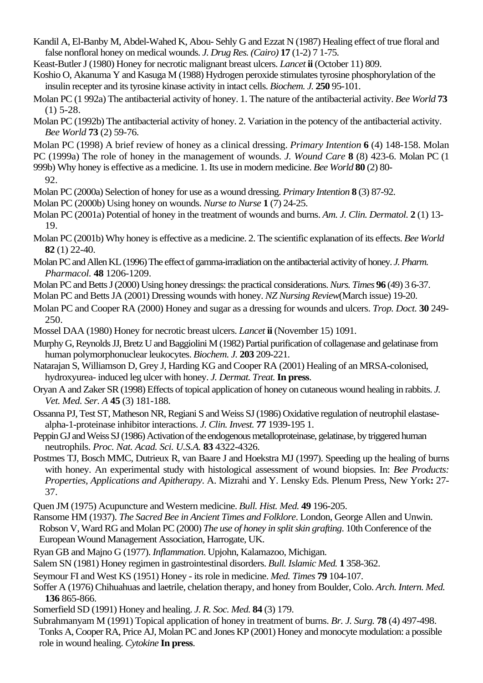- Kandil A, El-Banby M, Abdel-Wahed K, Abou- Sehly G and Ezzat N (1987) Healing effect of true floral and false nonfloral honey on medical wounds. *J. Drug Res. (Cairo)* **17** (1-2) 7 1-75.
- Keast-Butler J (1980) Honey for necrotic malignant breast ulcers. *Lancet* **ii** (October 11) 809.
- Koshio O, Akanuma Y and Kasuga M (1988) Hydrogen peroxide stimulates tyrosine phosphorylation of the insulin recepter and its tyrosine kinase activity in intact cells. *Biochem. J.* **250** 95-101.
- Molan PC (1 992a) The antibacterial activity of honey. 1. The nature of the antibacterial activity. *Bee World* **73**  (1) 5-28.
- Molan PC (1992b) The antibacterial activity of honey. 2. Variation in the potency of the antibacterial activity. *Bee World* **73** (2) 59-76.
- Molan PC (1998) A brief review of honey as a clinical dressing. *Primary Intention* **6** (4) 148-158. Molan PC (1999a) The role of honey in the management of wounds. *J. Wound Care* **8** (8) 423-6. Molan PC (1

999b) Why honey is effective as a medicine. 1. Its use in modern medicine. *Bee World* **80** (2) 80-

```
92.
```
- Molan PC (2000a) Selection of honey for use as a wound dressing. *Primary Intention* **8** (3) 87-92.
- Molan PC (2000b) Using honey on wounds. *Nurse to Nurse* **1** (7) 24-25.
- Molan PC (2001a) Potential of honey in the treatment of wounds and burns. *Am. J. Clin. Dermatol.* **2** (1) 13- 19.
- Molan PC (2001b) Why honey is effective as a medicine. 2. The scientific explanation of its effects. *Bee World* **82** (1) 22-40.
- Molan PC and Allen KL (1996) The effect of gamma-irradiation on the antibacterial activity of honey. *J. Pharm. Pharmacol.* **48** 1206-1209.
- Molan PC and Betts J (2000) Using honey dressings: the practical considerations. *Nurs. Times* **96** (49) 3 6-37.
- Molan PC and Betts JA (2001) Dressing wounds with honey. *NZ Nursing Review*(March issue) 19-20.
- Molan PC and Cooper RA (2000) Honey and sugar as a dressing for wounds and ulcers. *Trop. Doct.* **30** 249- 250.
- Mossel DAA (1980) Honey for necrotic breast ulcers. *Lancet* **ii** (November 15) 1091.
- Murphy G, Reynolds JJ, Bretz U and Baggiolini M (1982) Partial purification of collagenase and gelatinase from human polymorphonuclear leukocytes. *Biochem. J.* **203** 209-221.
- Natarajan S, Williamson D, Grey J, Harding KG and Cooper RA (2001) Healing of an MRSA-colonised, hydroxyurea- induced leg ulcer with honey. *J. Dermat. Treat.* **In press**.
- Oryan A and Zaker SR (1998) Effects of topical application of honey on cutaneous wound healing in rabbits. *J. Vet. Med. Ser. A* **45** (3) 181-188.
- Ossanna PJ, Test ST, Matheson NR, Regiani S and Weiss SJ (1986) Oxidative regulation of neutrophil elastasealpha-1-proteinase inhibitor interactions. *J. Clin. Invest.* **77** 1939-195 1.
- Peppin GJ and Weiss SJ (1986) Activation of the endogenous metalloproteinase, gelatinase, by triggered human neutrophils. *Proc. Nat. Acad. Sci. U.S.A.* **83** 4322-4326.
- Postmes TJ, Bosch MMC, Dutrieux R, van Baare J and Hoekstra MJ (1997). Speeding up the healing of burns with honey. An experimental study with histological assessment of wound biopsies. In: *Bee Products: Properties, Applications and Apitherapy*. A. Mizrahi and Y. Lensky Eds. Plenum Press, New York**:** 27- 37.
- Quen JM (1975) Acupuncture and Western medicine. *Bull. Hist. Med.* **49** 196-205.
- Ransome HM (1937). *The Sacred Bee in Ancient Times and Folklore*. London, George Allen and Unwin. Robson V, Ward RG and Molan PC (2000) *The use of honey in split skin grafting*. 10th Conference of the European Wound Management Association, Harrogate, UK.
- Ryan GB and Majno G (1977). *Inflammation*. Upjohn, Kalamazoo, Michigan.
- Salem SN (1981) Honey regimen in gastrointestinal disorders. *Bull. Islamic Med.* **1** 358-362.
- Seymour FI and West KS (1951) Honey its role in medicine. *Med. Times* **79** 104-107.
- Soffer A (1976) Chihuahuas and laetrile, chelation therapy, and honey from Boulder, Colo. *Arch. Intern. Med.* **136** 865-866.
- Somerfield SD (1991) Honey and healing. *J. R. Soc. Med.* **84** (3) 179.
- Subrahmanyam M (1991) Topical application of honey in treatment of burns. *Br. J. Surg.* **78** (4) 497-498.
- Tonks A, Cooper RA, Price AJ, Molan PC and Jones KP (2001) Honey and monocyte modulation: a possible role in wound healing. *Cytokine* **In press**.